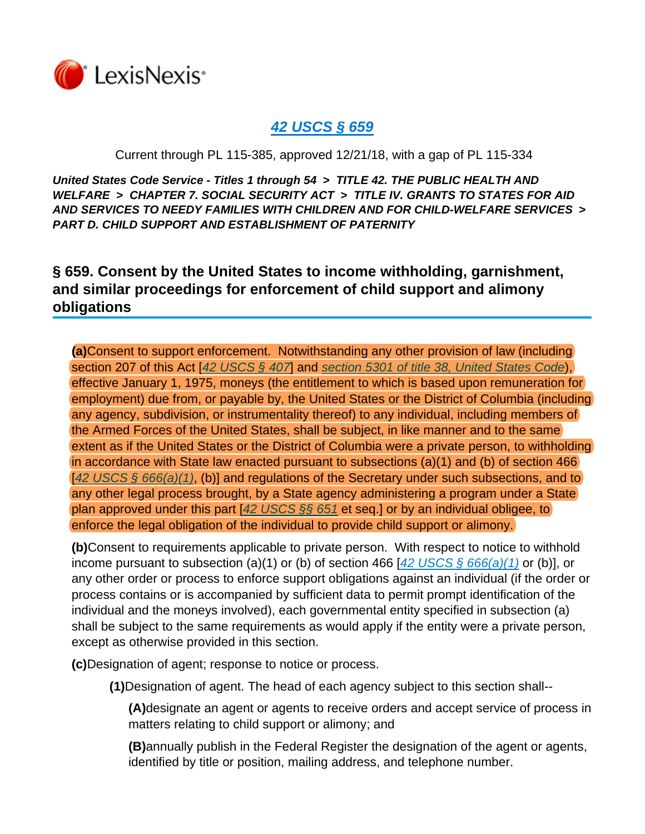

# **[42 USCS § 659](https://advance.lexis.com/api/document?collection=statutes-legislation&id=urn:contentItem:4YF7-GSV1-NRF4-4182-00000-00&context=)**

Current through PL 115-385, approved 12/21/18, with a gap of PL 115-334

**United States Code Service - Titles 1 through 54 > TITLE 42. THE PUBLIC HEALTH AND WELFARE > CHAPTER 7. SOCIAL SECURITY ACT > TITLE IV. GRANTS TO STATES FOR AID AND SERVICES TO NEEDY FAMILIES WITH CHILDREN AND FOR CHILD-WELFARE SERVICES > PART D. CHILD SUPPORT AND ESTABLISHMENT OF PATERNITY**

**§ 659. Consent by the United States to income withholding, garnishment, and similar proceedings for enforcement of child support and alimony obligations**

**(a)**Consent to support enforcement. Notwithstanding any other provision of law (including section 207 of this Act [[42 USCS § 407](https://advance.lexis.com/api/document?collection=statutes-legislation&id=urn:contentItem:4YF7-GJ31-NRF4-420M-00000-00&context=)] and [section 5301 of title 38, United States Code](https://advance.lexis.com/api/document?collection=statutes-legislation&id=urn:contentItem:4YF7-GR11-NRF4-4458-00000-00&context=)), effective January 1, 1975, moneys (the entitlement to which is based upon remuneration for employment) due from, or payable by, the United States or the District of Columbia (including any agency, subdivision, or instrumentality thereof) to any individual, including members of the Armed Forces of the United States, shall be subject, in like manner and to the same extent as if the United States or the District of Columbia were a private person, to withholding in accordance with State law enacted pursuant to subsections (a)(1) and (b) of section 466 [42 USCS  $§ 666(a)(1)$ , (b)] and regulations of the Secretary under such subsections, and to any other legal process brought, by a State agency administering a program under a State plan approved under this part [[42 USCS §§ 651](https://advance.lexis.com/api/document?collection=statutes-legislation&id=urn:contentItem:4YF7-GPV1-NRF4-423Y-00000-00&context=) et seq.] or by an individual obligee, to enforce the legal obligation of the individual to provide child support or alimony.

**(b)**Consent to requirements applicable to private person. With respect to notice to withhold income pursuant to subsection (a)(1) or (b) of section 466  $\frac{42 \text{ USCS } }$  666(a)(1) or (b)], or any other order or process to enforce support obligations against an individual (if the order or process contains or is accompanied by sufficient data to permit prompt identification of the individual and the moneys involved), each governmental entity specified in subsection (a) shall be subject to the same requirements as would apply if the entity were a private person, except as otherwise provided in this section.

**(c)**Designation of agent; response to notice or process.

**(1)**Designation of agent. The head of each agency subject to this section shall--

**(A)**designate an agent or agents to receive orders and accept service of process in matters relating to child support or alimony; and

**(B)**annually publish in the Federal Register the designation of the agent or agents, identified by title or position, mailing address, and telephone number.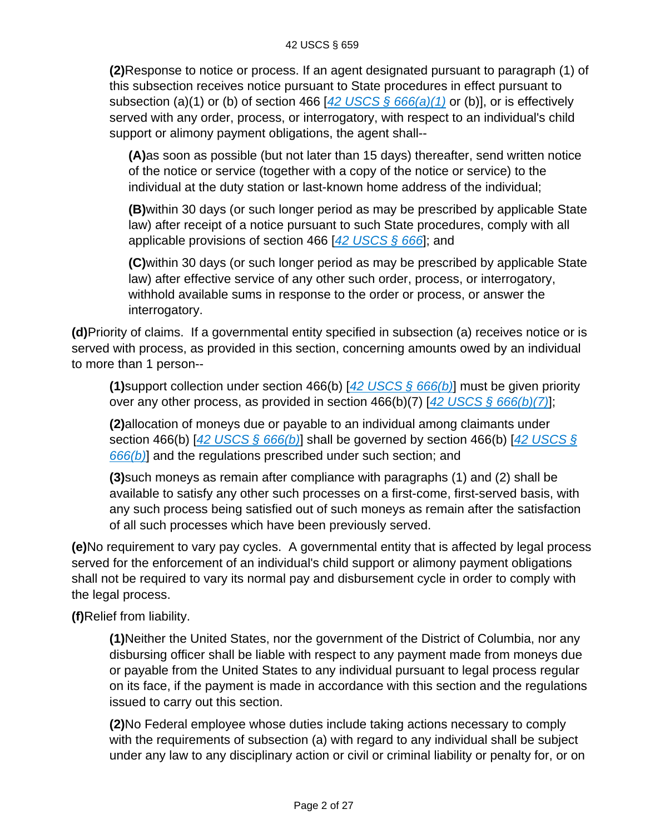**(2)**Response to notice or process. If an agent designated pursuant to paragraph (1) of this subsection receives notice pursuant to State procedures in effect pursuant to subsection (a)(1) or (b) of section 466  $[42 \text{ USCS }$  § 666(a)(1) or (b)], or is effectively served with any order, process, or interrogatory, with respect to an individual's child support or alimony payment obligations, the agent shall--

**(A)**as soon as possible (but not later than 15 days) thereafter, send written notice of the notice or service (together with a copy of the notice or service) to the individual at the duty station or last-known home address of the individual;

**(B)**within 30 days (or such longer period as may be prescribed by applicable State law) after receipt of a notice pursuant to such State procedures, comply with all applicable provisions of section 466 [[42 USCS § 666](https://advance.lexis.com/api/document?collection=statutes-legislation&id=urn:contentItem:4YF7-GMV1-NRF4-4313-00000-00&context=)]; and

**(C)**within 30 days (or such longer period as may be prescribed by applicable State law) after effective service of any other such order, process, or interrogatory, withhold available sums in response to the order or process, or answer the interrogatory.

**(d)**Priority of claims. If a governmental entity specified in subsection (a) receives notice or is served with process, as provided in this section, concerning amounts owed by an individual to more than 1 person--

**(1)**support collection under section 466(b) [[42 USCS § 666\(b\)](https://advance.lexis.com/api/document?collection=statutes-legislation&id=urn:contentItem:4YF7-GMV1-NRF4-4313-00000-00&context=)] must be given priority over any other process, as provided in section  $466(b)(7)$   $[42 \text{ USCS } \text{§ } 666(b)(7)]$ ;

**(2)**allocation of moneys due or payable to an individual among claimants under section 466(b)  $[42 \text{ USCS }$  § 666(b)] shall be governed by section 466(b)  $[42 \text{ USCS }$  §  $666(b)$ ] and the regulations prescribed under such section; and

**(3)**such moneys as remain after compliance with paragraphs (1) and (2) shall be available to satisfy any other such processes on a first-come, first-served basis, with any such process being satisfied out of such moneys as remain after the satisfaction of all such processes which have been previously served.

**(e)**No requirement to vary pay cycles. A governmental entity that is affected by legal process served for the enforcement of an individual's child support or alimony payment obligations shall not be required to vary its normal pay and disbursement cycle in order to comply with the legal process.

**(f)**Relief from liability.

**(1)**Neither the United States, nor the government of the District of Columbia, nor any disbursing officer shall be liable with respect to any payment made from moneys due or payable from the United States to any individual pursuant to legal process regular on its face, if the payment is made in accordance with this section and the regulations issued to carry out this section.

**(2)**No Federal employee whose duties include taking actions necessary to comply with the requirements of subsection (a) with regard to any individual shall be subject under any law to any disciplinary action or civil or criminal liability or penalty for, or on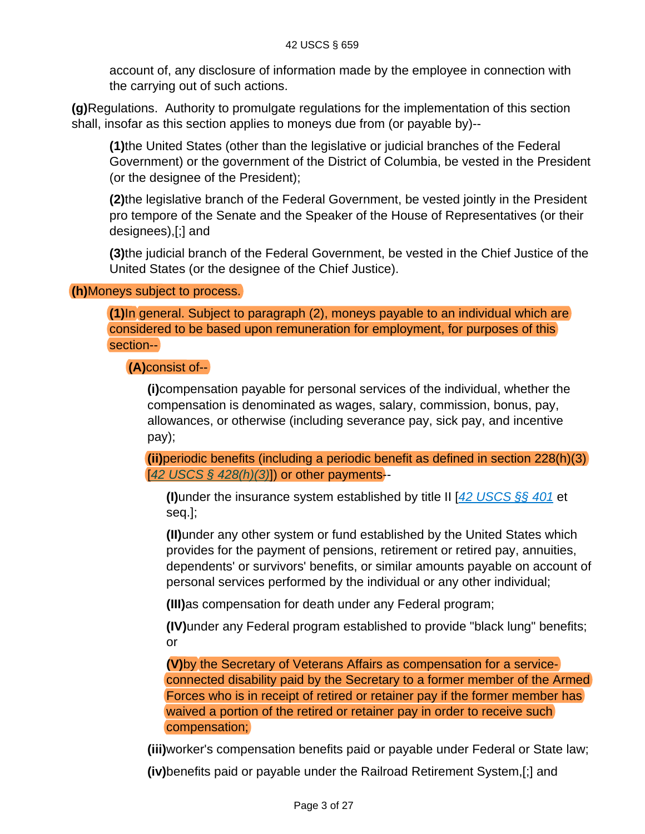account of, any disclosure of information made by the employee in connection with the carrying out of such actions.

**(g)**Regulations. Authority to promulgate regulations for the implementation of this section shall, insofar as this section applies to moneys due from (or payable by)--

**(1)**the United States (other than the legislative or judicial branches of the Federal Government) or the government of the District of Columbia, be vested in the President (or the designee of the President);

**(2)**the legislative branch of the Federal Government, be vested jointly in the President pro tempore of the Senate and the Speaker of the House of Representatives (or their designees),[;] and

**(3)**the judicial branch of the Federal Government, be vested in the Chief Justice of the United States (or the designee of the Chief Justice).

# **(h)**Moneys subject to process.

**(1)**In general. Subject to paragraph (2), moneys payable to an individual which are considered to be based upon remuneration for employment, for purposes of this section--

# **(A)**consist of--

**(i)**compensation payable for personal services of the individual, whether the compensation is denominated as wages, salary, commission, bonus, pay, allowances, or otherwise (including severance pay, sick pay, and incentive pay);

**(ii)**periodic benefits (including a periodic benefit as defined in section 228(h)(3) [42 USCS  $\S$  428(h)(3)]) or other payments--

**(I)**under the insurance system established by title II [[42 USCS §§ 401](https://advance.lexis.com/api/document?collection=statutes-legislation&id=urn:contentItem:4YF7-GHT1-NRF4-44H8-00000-00&context=) et seq.];

**(II)**under any other system or fund established by the United States which provides for the payment of pensions, retirement or retired pay, annuities, dependents' or survivors' benefits, or similar amounts payable on account of personal services performed by the individual or any other individual;

**(III)**as compensation for death under any Federal program;

**(IV)**under any Federal program established to provide "black lung" benefits; or

**(V)**by the Secretary of Veterans Affairs as compensation for a serviceconnected disability paid by the Secretary to a former member of the Armed Forces who is in receipt of retired or retainer pay if the former member has waived a portion of the retired or retainer pay in order to receive such compensation;

**(iii)**worker's compensation benefits paid or payable under Federal or State law;

**(iv)**benefits paid or payable under the Railroad Retirement System,[;] and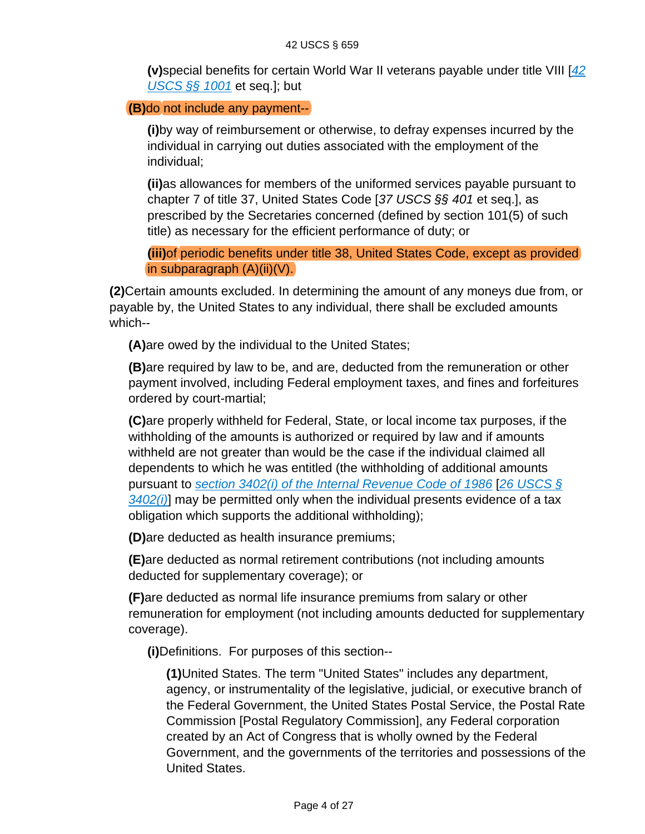**(v)**special benefits for certain World War II veterans payable under title VIII [[42](https://advance.lexis.com/api/document?collection=statutes-legislation&id=urn:contentItem:4YF7-GNF1-NRF4-43XT-00000-00&context=)  [USCS §§ 1001](https://advance.lexis.com/api/document?collection=statutes-legislation&id=urn:contentItem:4YF7-GNF1-NRF4-43XT-00000-00&context=) et seq.]; but

# **(B)**do not include any payment--

**(i)**by way of reimbursement or otherwise, to defray expenses incurred by the individual in carrying out duties associated with the employment of the individual;

**(ii)**as allowances for members of the uniformed services payable pursuant to chapter 7 of title 37, United States Code [37 USCS §§ 401 et seq.], as prescribed by the Secretaries concerned (defined by section 101(5) of such title) as necessary for the efficient performance of duty; or

**(iii)**of periodic benefits under title 38, United States Code, except as provided in subparagraph (A)(ii)(V).

**(2)**Certain amounts excluded. In determining the amount of any moneys due from, or payable by, the United States to any individual, there shall be excluded amounts which--

**(A)**are owed by the individual to the United States;

**(B)**are required by law to be, and are, deducted from the remuneration or other payment involved, including Federal employment taxes, and fines and forfeitures ordered by court-martial;

**(C)**are properly withheld for Federal, State, or local income tax purposes, if the withholding of the amounts is authorized or required by law and if amounts withheld are not greater than would be the case if the individual claimed all dependents to which he was entitled (the withholding of additional amounts pursuant to [section 3402\(i\) of the Internal Revenue Code of 1986](https://advance.lexis.com/api/document?collection=statutes-legislation&id=urn:contentItem:4YF7-GW41-NRF4-42PG-00000-00&context=) [[26 USCS §](https://advance.lexis.com/api/document?collection=statutes-legislation&id=urn:contentItem:4YF7-GW41-NRF4-42PG-00000-00&context=)   $3402(i)$ ] may be permitted only when the individual presents evidence of a tax obligation which supports the additional withholding);

**(D)**are deducted as health insurance premiums;

**(E)**are deducted as normal retirement contributions (not including amounts deducted for supplementary coverage); or

**(F)**are deducted as normal life insurance premiums from salary or other remuneration for employment (not including amounts deducted for supplementary coverage).

**(i)**Definitions. For purposes of this section--

**(1)**United States. The term "United States" includes any department, agency, or instrumentality of the legislative, judicial, or executive branch of the Federal Government, the United States Postal Service, the Postal Rate Commission [Postal Regulatory Commission], any Federal corporation created by an Act of Congress that is wholly owned by the Federal Government, and the governments of the territories and possessions of the United States.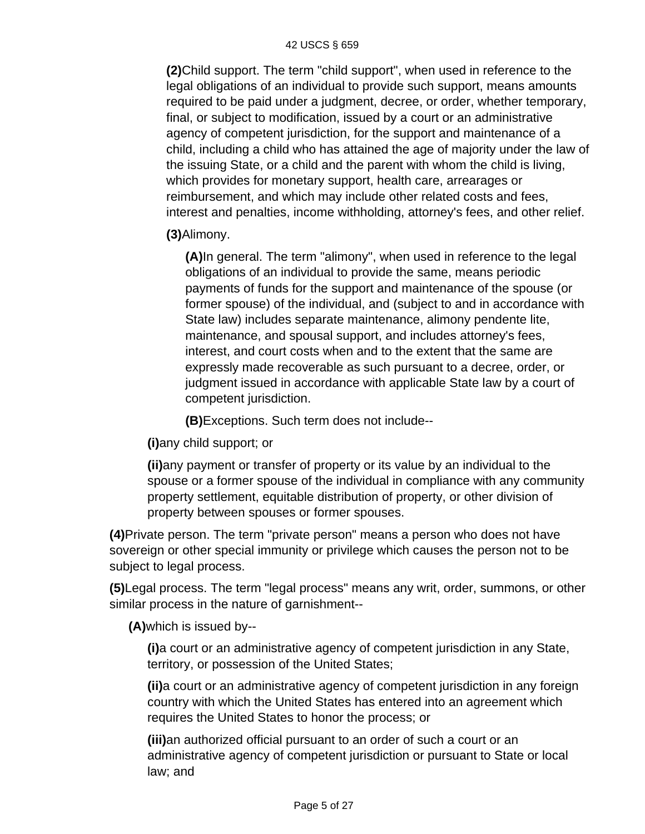#### 42 USCS § 659

**(2)**Child support. The term "child support", when used in reference to the legal obligations of an individual to provide such support, means amounts required to be paid under a judgment, decree, or order, whether temporary, final, or subject to modification, issued by a court or an administrative agency of competent jurisdiction, for the support and maintenance of a child, including a child who has attained the age of majority under the law of the issuing State, or a child and the parent with whom the child is living, which provides for monetary support, health care, arrearages or reimbursement, and which may include other related costs and fees, interest and penalties, income withholding, attorney's fees, and other relief.

**(3)**Alimony.

**(A)**In general. The term "alimony", when used in reference to the legal obligations of an individual to provide the same, means periodic payments of funds for the support and maintenance of the spouse (or former spouse) of the individual, and (subject to and in accordance with State law) includes separate maintenance, alimony pendente lite, maintenance, and spousal support, and includes attorney's fees, interest, and court costs when and to the extent that the same are expressly made recoverable as such pursuant to a decree, order, or judgment issued in accordance with applicable State law by a court of competent jurisdiction.

**(B)**Exceptions. Such term does not include--

**(i)**any child support; or

**(ii)**any payment or transfer of property or its value by an individual to the spouse or a former spouse of the individual in compliance with any community property settlement, equitable distribution of property, or other division of property between spouses or former spouses.

**(4)**Private person. The term "private person" means a person who does not have sovereign or other special immunity or privilege which causes the person not to be subject to legal process.

**(5)**Legal process. The term "legal process" means any writ, order, summons, or other similar process in the nature of garnishment--

**(A)**which is issued by--

**(i)**a court or an administrative agency of competent jurisdiction in any State, territory, or possession of the United States;

**(ii)**a court or an administrative agency of competent jurisdiction in any foreign country with which the United States has entered into an agreement which requires the United States to honor the process; or

**(iii)**an authorized official pursuant to an order of such a court or an administrative agency of competent jurisdiction or pursuant to State or local law; and